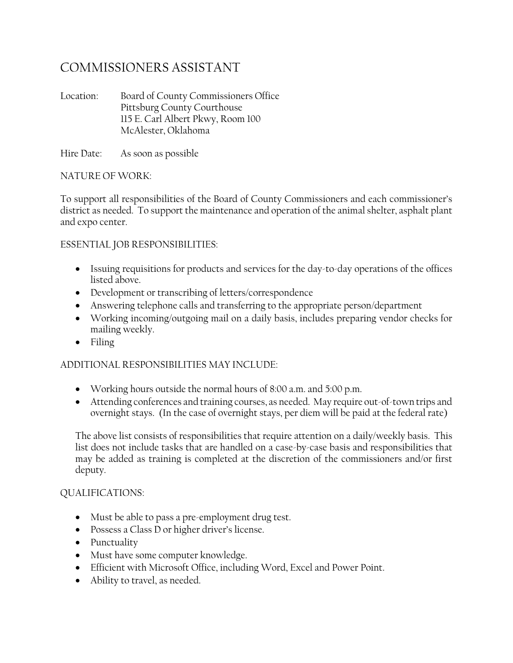# COMMISSIONERS ASSISTANT

Location: Board of County Commissioners Office Pittsburg County Courthouse 115 E. Carl Albert Pkwy, Room 100 McAlester, Oklahoma

Hire Date: As soon as possible

## NATURE OF WORK:

To support all responsibilities of the Board of County Commissioners and each commissioner's district as needed. To support the maintenance and operation of the animal shelter, asphalt plant and expo center.

# ESSENTIAL JOB RESPONSIBILITIES:

- Issuing requisitions for products and services for the day-to-day operations of the offices listed above.
- Development or transcribing of letters/correspondence
- Answering telephone calls and transferring to the appropriate person/department
- Working incoming/outgoing mail on a daily basis, includes preparing vendor checks for mailing weekly.
- Filing

# ADDITIONAL RESPONSIBILITIES MAY INCLUDE:

- Working hours outside the normal hours of 8:00 a.m. and 5:00 p.m.
- Attending conferences and training courses, as needed. May require out-of-town trips and overnight stays. (In the case of overnight stays, per diem will be paid at the federal rate)

The above list consists of responsibilities that require attention on a daily/weekly basis. This list does not include tasks that are handled on a case-by-case basis and responsibilities that may be added as training is completed at the discretion of the commissioners and/or first deputy.

## QUALIFICATIONS:

- Must be able to pass a pre-employment drug test.
- Possess a Class D or higher driver's license.
- Punctuality
- Must have some computer knowledge.
- Efficient with Microsoft Office, including Word, Excel and Power Point.
- Ability to travel, as needed.